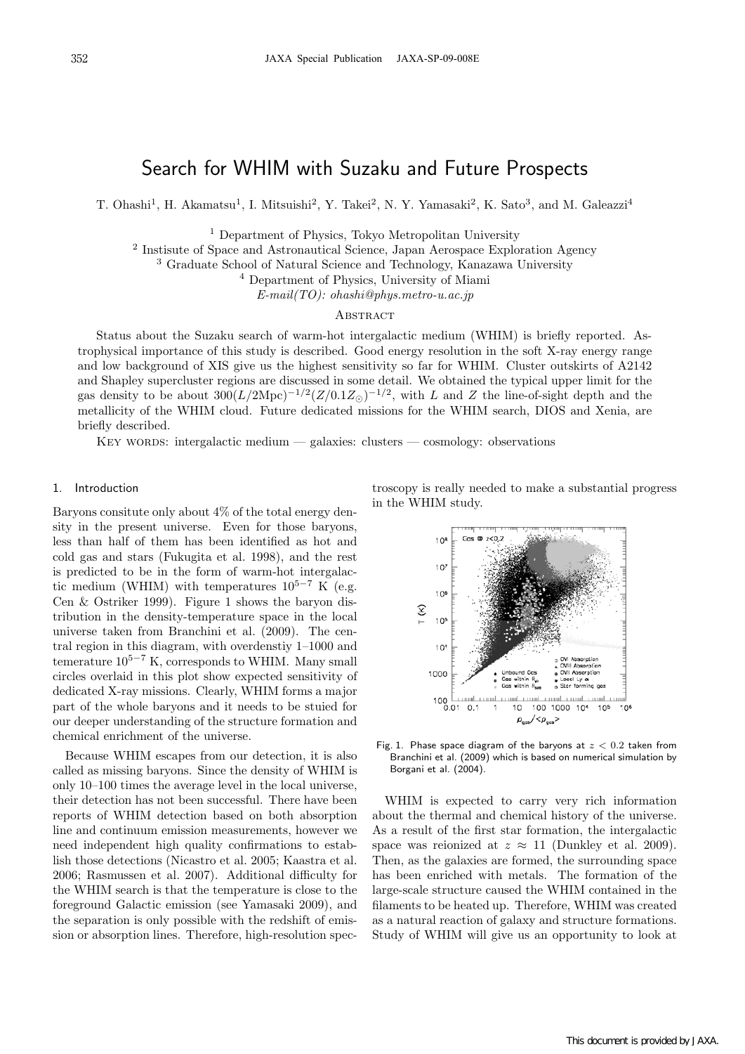# Search for WHIM with Suzaku and Future Prospects

T. Ohashi<sup>1</sup>, H. Akamatsu<sup>1</sup>, I. Mitsuishi<sup>2</sup>, Y. Takei<sup>2</sup>, N. Y. Yamasaki<sup>2</sup>, K. Sato<sup>3</sup>, and M. Galeazzi<sup>4</sup>

<sup>1</sup> Department of Physics, Tokyo Metropolitan University

<sup>2</sup> Instisute of Space and Astronautical Science, Japan Aerospace Exploration Agency

<sup>3</sup> Graduate School of Natural Science and Technology, Kanazawa University

<sup>4</sup> Department of Physics, University of Miami

*E-mail(TO): ohashi@phys.metro-u.ac.jp*

#### **ABSTRACT**

Status about the Suzaku search of warm-hot intergalactic medium (WHIM) is briefly reported. Astrophysical importance of this study is described. Good energy resolution in the soft X-ray energy range and low background of XIS give us the highest sensitivity so far for WHIM. Cluster outskirts of A2142 and Shapley supercluster regions are discussed in some detail. We obtained the typical upper limit for the gas density to be about  $300(L/2\text{Mpc})^{-1/2}(Z/0.1Z_{\odot})^{-1/2}$ , with *L* and *Z* the line-of-sight depth and the metallicity of the WHIM cloud. Future dedicated missions for the WHIM search, DIOS and Xenia, are briefly described.

Key words: intergalactic medium — galaxies: clusters — cosmology: observations

## 1. Introduction

Baryons consitute only about 4% of the total energy density in the present universe. Even for those baryons, less than half of them has been identified as hot and cold gas and stars (Fukugita et al. 1998), and the rest is predicted to be in the form of warm-hot intergalactic medium (WHIM) with temperatures 10<sup>5</sup>*−*<sup>7</sup> K (e.g. Cen & Ostriker 1999). Figure 1 shows the baryon distribution in the density-temperature space in the local universe taken from Branchini et al. (2009). The central region in this diagram, with overdenstiy 1–1000 and temerature 10<sup>5</sup>*−*<sup>7</sup> K, corresponds to WHIM. Many small circles overlaid in this plot show expected sensitivity of dedicated X-ray missions. Clearly, WHIM forms a major part of the whole baryons and it needs to be stuied for our deeper understanding of the structure formation and chemical enrichment of the universe.

Because WHIM escapes from our detection, it is also called as missing baryons. Since the density of WHIM is only 10–100 times the average level in the local universe, their detection has not been successful. There have been reports of WHIM detection based on both absorption line and continuum emission measurements, however we need independent high quality confirmations to establish those detections (Nicastro et al. 2005; Kaastra et al. 2006; Rasmussen et al. 2007). Additional difficulty for the WHIM search is that the temperature is close to the foreground Galactic emission (see Yamasaki 2009), and the separation is only possible with the redshift of emission or absorption lines. Therefore, high-resolution spectroscopy is really needed to make a substantial progress in the WHIM study.



Fig. 1. Phase space diagram of the baryons at *z <* 0*.*2 taken from Branchini et al. (2009) which is based on numerical simulation by Borgani et al. (2004).

WHIM is expected to carry very rich information about the thermal and chemical history of the universe. As a result of the first star formation, the intergalactic space was reionized at  $z \approx 11$  (Dunkley et al. 2009). Then, as the galaxies are formed, the surrounding space has been enriched with metals. The formation of the large-scale structure caused the WHIM contained in the filaments to be heated up. Therefore, WHIM was created as a natural reaction of galaxy and structure formations. Study of WHIM will give us an opportunity to look at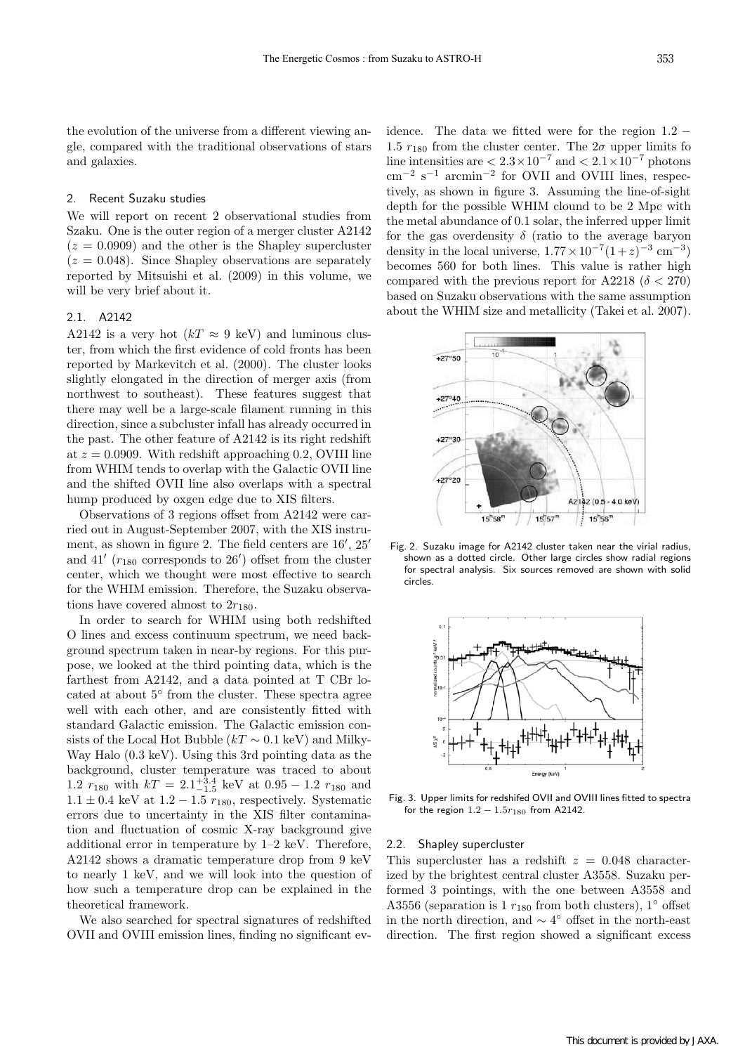the evolution of the universe from a different viewing angle, compared with the traditional observations of stars and galaxies.

# 2. Recent Suzaku studies

We will report on recent 2 observational studies from Szaku. One is the outer region of a merger cluster A2142  $(z = 0.0909)$  and the other is the Shapley supercluster  $(z = 0.048)$ . Since Shapley observations are separately reported by Mitsuishi et al. (2009) in this volume, we will be very brief about it.

## 2.1. A2142

A2142 is a very hot  $(kT \approx 9 \text{ keV})$  and luminous cluster, from which the first evidence of cold fronts has been reported by Markevitch et al. (2000). The cluster looks slightly elongated in the direction of merger axis (from northwest to southeast). These features suggest that there may well be a large-scale filament running in this direction, since a subcluster infall has already occurred in the past. The other feature of A2142 is its right redshift at  $z = 0.0909$ . With redshift approaching 0.2, OVIII line from WHIM tends to overlap with the Galactic OVII line and the shifted OVII line also overlaps with a spectral hump produced by oxgen edge due to XIS filters.

Observations of 3 regions offset from A2142 were carried out in August-September 2007, with the XIS instrument, as shown in figure 2. The field centers are 16*′* , 25*′* and 41*′* (*r*<sup>180</sup> corresponds to 26*′* ) offset from the cluster center, which we thought were most effective to search for the WHIM emission. Therefore, the Suzaku observations have covered almost to  $2r_{180}$ .

In order to search for WHIM using both redshifted O lines and excess continuum spectrum, we need background spectrum taken in near-by regions. For this purpose, we looked at the third pointing data, which is the farthest from A2142, and a data pointed at T CBr located at about 5*◦* from the cluster. These spectra agree well with each other, and are consistently fitted with standard Galactic emission. The Galactic emission consists of the Local Hot Bubble  $(kT \sim 0.1 \text{ keV})$  and Milky-Way Halo (0*.*3 keV). Using this 3rd pointing data as the background, cluster temperature was traced to about 1.2  $r_{180}$  with  $kT = 2.1^{+3.4}_{-1.5}$  keV at  $0.95 - 1.2$   $r_{180}$  and  $1.1 \pm 0.4$  keV at  $1.2 - 1.5$   $r_{180}$ , respectively. Systematic errors due to uncertainty in the XIS filter contamination and fluctuation of cosmic X-ray background give additional error in temperature by 1–2 keV. Therefore, A2142 shows a dramatic temperature drop from 9 keV to nearly 1 keV, and we will look into the question of how such a temperature drop can be explained in the theoretical framework.

We also searched for spectral signatures of redshifted OVII and OVIII emission lines, finding no significant evidence. The data we fitted were for the region 1*.*2 *−* 1.5  $r_{180}$  from the cluster center. The  $2\sigma$  upper limits fo line intensities are  $\langle 2.3 \times 10^{-7}$  and  $\langle 2.1 \times 10^{-7}$  photons cm*−*<sup>2</sup> s*−*<sup>1</sup> arcmin*−*<sup>2</sup> for OVII and OVIII lines, respectively, as shown in figure 3. Assuming the line-of-sight depth for the possible WHIM clound to be 2 Mpc with the metal abundance of 0.1 solar, the inferred upper limit for the gas overdensity  $\delta$  (ratio to the average baryon density in the local universe,  $1.77 \times 10^{-7}(1+z)^{-3}$  cm<sup>-3</sup>) becomes 560 for both lines. This value is rather high compared with the previous report for A2218 ( $\delta$  < 270) based on Suzaku observations with the same assumption about the WHIM size and metallicity (Takei et al. 2007).



Fig. 2. Suzaku image for A2142 cluster taken near the virial radius, shown as a dotted circle. Other large circles show radial regions for spectral analysis. Six sources removed are shown with solid circles.



Fig. 3. Upper limits for redshifed OVII and OVIII lines fitted to spectra for the region 1*.*2 *−* 1*.*5*r*<sup>180</sup> from A2142.

## 2.2. Shapley supercluster

This supercluster has a redshift  $z = 0.048$  characterized by the brightest central cluster A3558. Suzaku performed 3 pointings, with the one between A3558 and A3556 (separation is 1 *r*<sup>180</sup> from both clusters), 1*◦* offset in the north direction, and *∼* 4*◦* offset in the north-east direction. The first region showed a significant excess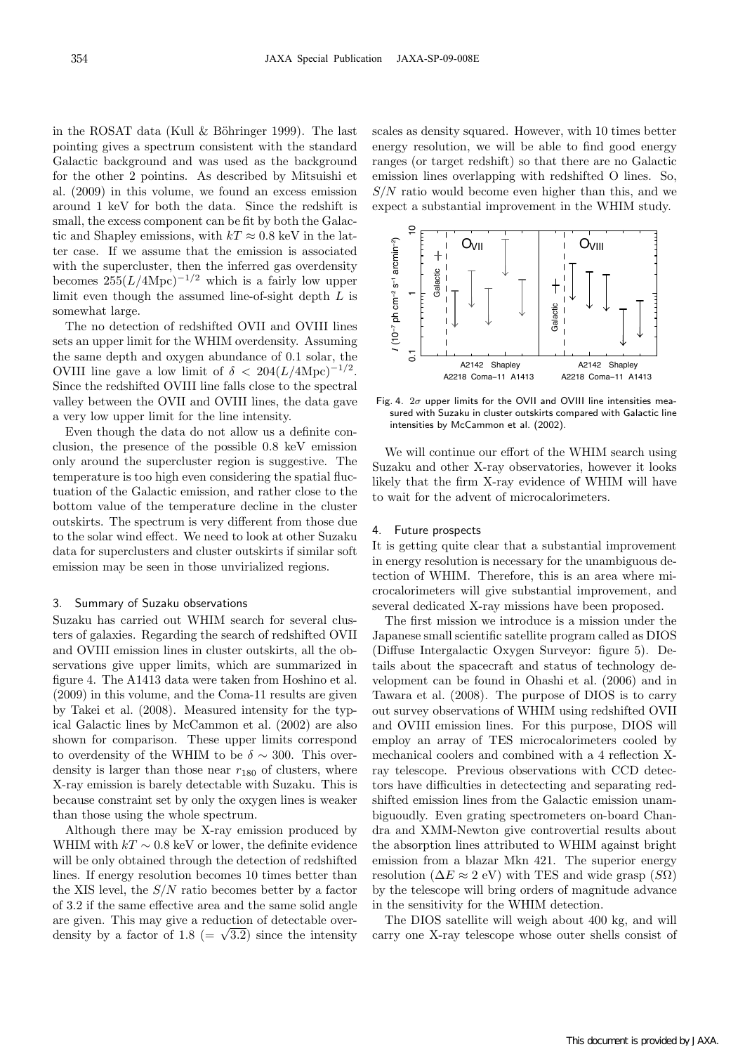in the ROSAT data (Kull  $\&$  Böhringer 1999). The last pointing gives a spectrum consistent with the standard Galactic background and was used as the background for the other 2 pointins. As described by Mitsuishi et al. (2009) in this volume, we found an excess emission around 1 keV for both the data. Since the redshift is small, the excess component can be fit by both the Galactic and Shapley emissions, with  $kT \approx 0.8$  keV in the latter case. If we assume that the emission is associated with the supercluster, then the inferred gas overdensity becomes  $255(L/4\text{Mpc})^{-1/2}$  which is a fairly low upper limit even though the assumed line-of-sight depth *L* is somewhat large.

The no detection of redshifted OVII and OVIII lines sets an upper limit for the WHIM overdensity. Assuming the same depth and oxygen abundance of 0.1 solar, the OVIII line gave a low limit of  $\delta$  < 204( $L/4 \text{Mpc}$ )<sup>−1/2</sup>. Since the redshifted OVIII line falls close to the spectral valley between the OVII and OVIII lines, the data gave a very low upper limit for the line intensity.

Even though the data do not allow us a definite conclusion, the presence of the possible 0.8 keV emission only around the supercluster region is suggestive. The temperature is too high even considering the spatial fluctuation of the Galactic emission, and rather close to the bottom value of the temperature decline in the cluster outskirts. The spectrum is very different from those due to the solar wind effect. We need to look at other Suzaku data for superclusters and cluster outskirts if similar soft emission may be seen in those unvirialized regions.

#### 3. Summary of Suzaku observations

Suzaku has carried out WHIM search for several clusters of galaxies. Regarding the search of redshifted OVII and OVIII emission lines in cluster outskirts, all the observations give upper limits, which are summarized in figure 4. The A1413 data were taken from Hoshino et al. (2009) in this volume, and the Coma-11 results are given by Takei et al. (2008). Measured intensity for the typical Galactic lines by McCammon et al. (2002) are also shown for comparison. These upper limits correspond to overdensity of the WHIM to be  $\delta \sim 300$ . This overdensity is larger than those near  $r_{180}$  of clusters, where X-ray emission is barely detectable with Suzaku. This is because constraint set by only the oxygen lines is weaker than those using the whole spectrum.

Although there may be X-ray emission produced by WHIM with  $kT \sim 0.8$  keV or lower, the definite evidence will be only obtained through the detection of redshifted lines. If energy resolution becomes 10 times better than the XIS level, the *S/N* ratio becomes better by a factor of 3.2 if the same effective area and the same solid angle are given. This may give a reduction of detectable overdensity by a factor of 1.8 (=  $\sqrt{3.2}$ ) since the intensity

scales as density squared. However, with 10 times better energy resolution, we will be able to find good energy ranges (or target redshift) so that there are no Galactic emission lines overlapping with redshifted O lines. So, *S/N* ratio would become even higher than this, and we expect a substantial improvement in the WHIM study.



Fig. 4. 2*σ* upper limits for the OVII and OVIII line intensities measured with Suzaku in cluster outskirts compared with Galactic line intensities by McCammon et al. (2002).

We will continue our effort of the WHIM search using Suzaku and other X-ray observatories, however it looks likely that the firm X-ray evidence of WHIM will have to wait for the advent of microcalorimeters.

## Future prospects

It is getting quite clear that a substantial improvement in energy resolution is necessary for the unambiguous detection of WHIM. Therefore, this is an area where microcalorimeters will give substantial improvement, and several dedicated X-ray missions have been proposed.

The first mission we introduce is a mission under the Japanese small scientific satellite program called as DIOS (Diffuse Intergalactic Oxygen Surveyor: figure 5). Details about the spacecraft and status of technology development can be found in Ohashi et al. (2006) and in Tawara et al. (2008). The purpose of DIOS is to carry out survey observations of WHIM using redshifted OVII and OVIII emission lines. For this purpose, DIOS will employ an array of TES microcalorimeters cooled by mechanical coolers and combined with a 4 reflection Xray telescope. Previous observations with CCD detectors have difficulties in detectecting and separating redshifted emission lines from the Galactic emission unambiguoudly. Even grating spectrometers on-board Chandra and XMM-Newton give controvertial results about the absorption lines attributed to WHIM against bright emission from a blazar Mkn 421. The superior energy resolution ( $\Delta E \approx 2$  eV) with TES and wide grasp ( $S\Omega$ ) by the telescope will bring orders of magnitude advance in the sensitivity for the WHIM detection.

The DIOS satellite will weigh about 400 kg, and will carry one X-ray telescope whose outer shells consist of